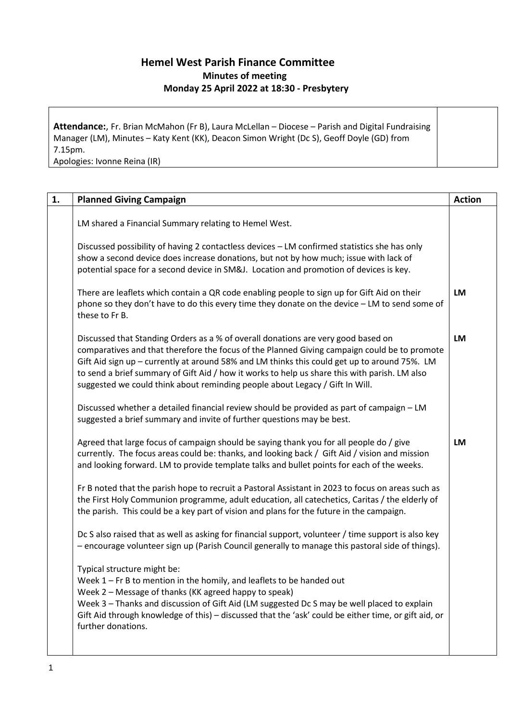## **Hemel West Parish Finance Committee Minutes of meeting Monday 25 April 2022 at 18:30 - Presbytery**

**Attendance:**, Fr. Brian McMahon (Fr B), Laura McLellan – Diocese – Parish and Digital Fundraising Manager (LM), Minutes – Katy Kent (KK), Deacon Simon Wright (Dc S), Geoff Doyle (GD) from 7.15pm.

Apologies: Ivonne Reina (IR)

| <b>Planned Giving Campaign</b>                                                                                                                                                                                                                                                                                                                                                                                                                                     | <b>Action</b> |
|--------------------------------------------------------------------------------------------------------------------------------------------------------------------------------------------------------------------------------------------------------------------------------------------------------------------------------------------------------------------------------------------------------------------------------------------------------------------|---------------|
| LM shared a Financial Summary relating to Hemel West.                                                                                                                                                                                                                                                                                                                                                                                                              |               |
| Discussed possibility of having 2 contactless devices - LM confirmed statistics she has only<br>show a second device does increase donations, but not by how much; issue with lack of<br>potential space for a second device in SM&J. Location and promotion of devices is key.                                                                                                                                                                                    |               |
| There are leaflets which contain a QR code enabling people to sign up for Gift Aid on their<br>phone so they don't have to do this every time they donate on the device - LM to send some of<br>these to Fr B.                                                                                                                                                                                                                                                     | <b>LM</b>     |
| Discussed that Standing Orders as a % of overall donations are very good based on<br>comparatives and that therefore the focus of the Planned Giving campaign could be to promote<br>Gift Aid sign up - currently at around 58% and LM thinks this could get up to around 75%. LM<br>to send a brief summary of Gift Aid / how it works to help us share this with parish. LM also<br>suggested we could think about reminding people about Legacy / Gift In Will. | <b>LM</b>     |
| Discussed whether a detailed financial review should be provided as part of campaign - LM<br>suggested a brief summary and invite of further questions may be best.                                                                                                                                                                                                                                                                                                |               |
| Agreed that large focus of campaign should be saying thank you for all people do / give<br>currently. The focus areas could be: thanks, and looking back / Gift Aid / vision and mission<br>and looking forward. LM to provide template talks and bullet points for each of the weeks.                                                                                                                                                                             | LM            |
| Fr B noted that the parish hope to recruit a Pastoral Assistant in 2023 to focus on areas such as<br>the First Holy Communion programme, adult education, all catechetics, Caritas / the elderly of<br>the parish. This could be a key part of vision and plans for the future in the campaign.                                                                                                                                                                    |               |
| Dc S also raised that as well as asking for financial support, volunteer / time support is also key<br>- encourage volunteer sign up (Parish Council generally to manage this pastoral side of things).                                                                                                                                                                                                                                                            |               |
| Typical structure might be:<br>Week $1$ – Fr B to mention in the homily, and leaflets to be handed out<br>Week 2 - Message of thanks (KK agreed happy to speak)<br>Week 3 - Thanks and discussion of Gift Aid (LM suggested Dc S may be well placed to explain<br>Gift Aid through knowledge of this) - discussed that the 'ask' could be either time, or gift aid, or<br>further donations.                                                                       |               |
|                                                                                                                                                                                                                                                                                                                                                                                                                                                                    |               |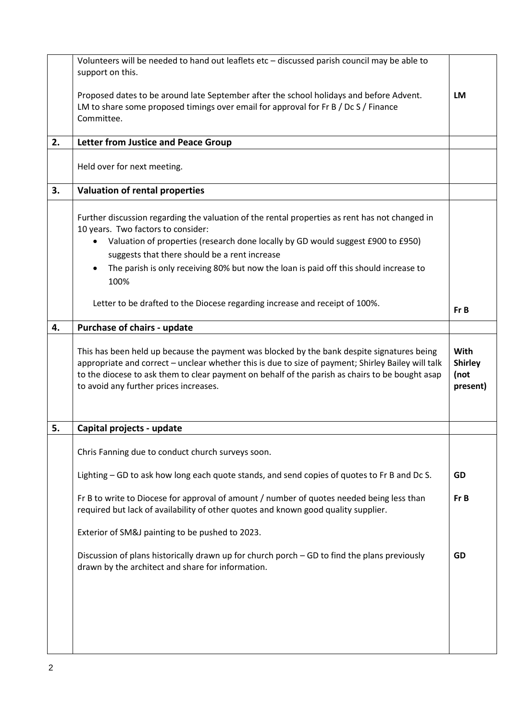|    | Volunteers will be needed to hand out leaflets etc - discussed parish council may be able to<br>support on this.                                                                                                                                                                                                                                                                        |                                                   |
|----|-----------------------------------------------------------------------------------------------------------------------------------------------------------------------------------------------------------------------------------------------------------------------------------------------------------------------------------------------------------------------------------------|---------------------------------------------------|
|    | Proposed dates to be around late September after the school holidays and before Advent.<br>LM to share some proposed timings over email for approval for Fr B / Dc S / Finance<br>Committee.                                                                                                                                                                                            | <b>LM</b>                                         |
| 2. | <b>Letter from Justice and Peace Group</b>                                                                                                                                                                                                                                                                                                                                              |                                                   |
|    | Held over for next meeting.                                                                                                                                                                                                                                                                                                                                                             |                                                   |
| 3. | <b>Valuation of rental properties</b>                                                                                                                                                                                                                                                                                                                                                   |                                                   |
|    | Further discussion regarding the valuation of the rental properties as rent has not changed in<br>10 years. Two factors to consider:<br>Valuation of properties (research done locally by GD would suggest £900 to £950)<br>$\bullet$<br>suggests that there should be a rent increase<br>The parish is only receiving 80% but now the loan is paid off this should increase to<br>100% |                                                   |
|    | Letter to be drafted to the Diocese regarding increase and receipt of 100%.                                                                                                                                                                                                                                                                                                             | Fr B                                              |
| 4. | Purchase of chairs - update                                                                                                                                                                                                                                                                                                                                                             |                                                   |
|    | This has been held up because the payment was blocked by the bank despite signatures being<br>appropriate and correct - unclear whether this is due to size of payment; Shirley Bailey will talk<br>to the diocese to ask them to clear payment on behalf of the parish as chairs to be bought asap<br>to avoid any further prices increases.                                           | <b>With</b><br><b>Shirley</b><br>(not<br>present) |
| 5. | Capital projects - update                                                                                                                                                                                                                                                                                                                                                               |                                                   |
|    | Chris Fanning due to conduct church surveys soon.                                                                                                                                                                                                                                                                                                                                       |                                                   |
|    | Lighting - GD to ask how long each quote stands, and send copies of quotes to Fr B and Dc S.                                                                                                                                                                                                                                                                                            | GD                                                |
|    | Fr B to write to Diocese for approval of amount / number of quotes needed being less than<br>required but lack of availability of other quotes and known good quality supplier.                                                                                                                                                                                                         | Fr B                                              |
|    | Exterior of SM&J painting to be pushed to 2023.                                                                                                                                                                                                                                                                                                                                         |                                                   |
|    | Discussion of plans historically drawn up for church porch – GD to find the plans previously<br>drawn by the architect and share for information.                                                                                                                                                                                                                                       | GD                                                |
|    |                                                                                                                                                                                                                                                                                                                                                                                         |                                                   |
|    |                                                                                                                                                                                                                                                                                                                                                                                         |                                                   |
|    |                                                                                                                                                                                                                                                                                                                                                                                         |                                                   |